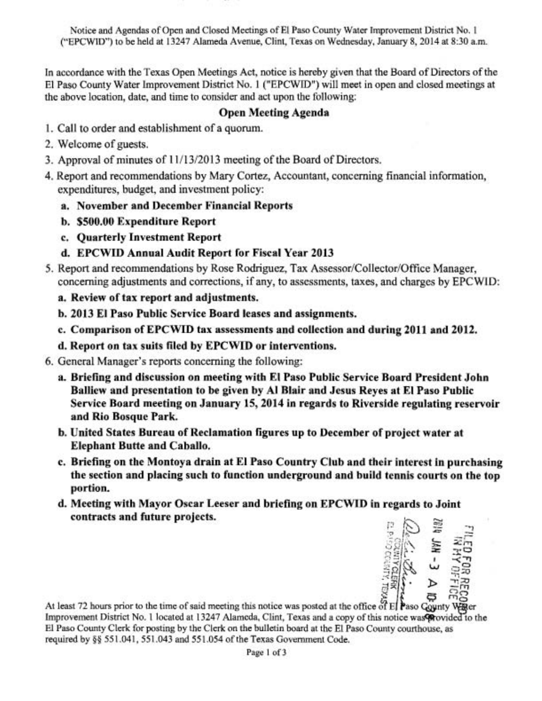Notice and Agendas of Open and Closed Meetings of El Paso County Water Improvement District No. 1 ("EPCWID") to be held at 13247 Alarneda Avenue, Clint, Texas on Wednesday, January 8,2014 at 8:30 a.m.

In accordance with the Texas Open Meetings Act, notice is hereby given that the Board of Directors of the El Paso County Water Improvement District No. 1 ("EPCWID") will meet in open and closed meetings at the above location, date, and time to consider and act upon the following;

#### Open Meeting Agenda

- 1. Call to order and establishment of a quorum.
- 2. Welcome of guests.
- 3. Approval of minutes of  $11/13/2013$  meeting of the Board of Directors.
- 4. Report and recommendations by Mary Cortez, Accountant, concerning financial information, expenditures, budget, and investment policy:
	- a. November and December Financial Reports
	- b. **\$500.00** Expenditure Report
	- c. Quarterly Investment Report
	- d. EPCWID Annual Audit Report for Fiscal Year **2013**
- 5. Report and recommendations by Rose Rodriguez, Tax Assessor/Collector/Office Manager, concerning adjustments and corrections, if any, to assessments, taxes, and charges by EPC WID:
	- a. Review of tax report and adjustments.
	- b. **2013** El Paso Public Service Board leases and assignments.
	- c. Comparison of EPCWID tax assessments and collection and during **2011** and **2012.**
	- d. Report on tax suits filed by EPCWID or interventions.
- 6. General Manager's reports concerning the following:
	- a. Briefing and discussion on meeting with El Paso Public Service Board President John Balliew and presentation to be given by A1 Blair and Jesus Reyes at El Paso Public Service Board meeting on January 15, 2014 in regards to Riverside regulating reservoir and Rio Bosque Park.
	- b. United States Bureau of Reclamation figures up to December of project water at Elephant Butte and Caballo.
	- c. Briefing on the Montoya drain at El Paso Country Club and their interest in purchasing the section and placing such to function underground and build tennis courts on the top portion.
	- d. Meeting with Mayor Oscar Leeser and briefing on EPCWID in regards to Joint contracts and future projects.



At least 72 hours prior to the time of said meeting this notice was posted at the office of El Paso Gounty Water Improvement District No. 1 located at 13247 Alameda, Clint, Texas and a copy of this notice was wovided to the El Paso County Clerk for posting by the Clerk on the bulletin board at the El Paso County courthouse, as required by **56** 55 1.041, 551.043 and 55 1.054 of the Texas Government Code.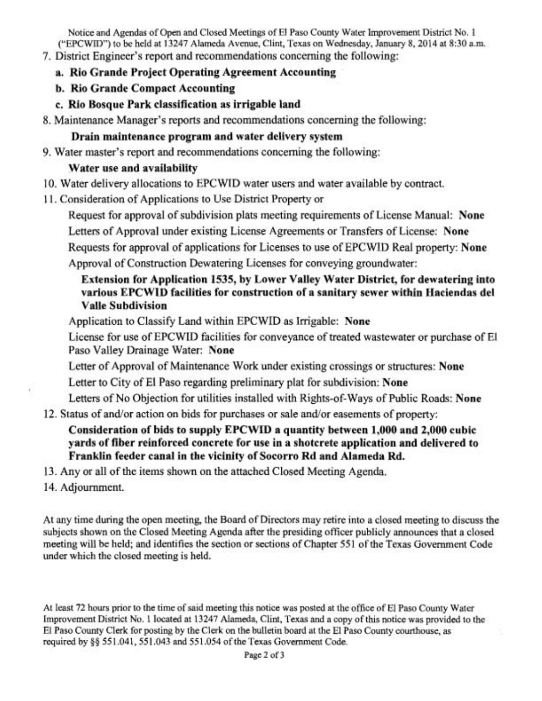Notice and Agendas of Open and Closed Meetings of El Paso County Water Improvement District No. 1 ("EPCWID") to be held at 13247 Alameda Avenue, Clint, Texas on Wednesday, January 8,2014 at 8:30 a.m.

- 7. District Engineer's report and recommendations concerning the following:
	- **a. Rio Grande Project Operating Agreement Accounting**
	- **b. Rio Grande Compact Accounting**
	- **c. Rio Bosque Park classification as irrigable land**
- 8. Maintenance Manager's reports and recommendations concerning the following:

## **Drain maintenance program and water delivery system**

9. Water master's report and recommendations concerning the following:

# **Water use and availability**

- 10. Water delivery allocations to EPCWID water users and water available by contract.
- 11. Consideration of Applications to Use District Property or

Request for approval of subdivision plats meeting requirements of License Manual: **None** 

Letters of Approval under existing License Agreements or Transfers of License: **None** 

Requests for approval of applications for Licenses to use of EPCWID Real property: **None**  Approval of Construction Dewatering Licenses for conveying groundwater:

# **Extension for Application 1535, by Lower Valley Water District, for dewatering into various EPCWID facilities for construction of a sanitary sewer within Haciendas del Valle Subdivision**

Application to Classify Land within EPCWID as Irrigable: **None** 

License for use of EPCWID facilities for conveyance of treated wastewater or purchase of El Paso Valley Drainage Water: **None** 

- Letter of Approval of Maintenance Work under existing crossings or structures: **None**
- Letter to City of El Paso regarding preliminary plat for subdivision: **None**

Letters of No Objection for utilities installed with Rights-of-Ways of Public Roads: **None** 

12. Status of and/or action on bids for purchases or sale and/or easements of property:

# **Consideration of bids to supply EPCWID a quantity between 1,000 and 2,000 cubic yards of fiber reinforced concrete for use in a shotcrete application and delivered to Franklin feeder canal in the vicinity of Socorro Rd and Alameda Rd.**

- **13.** Any or all of the items shown on the attached Closed Meeting Agenda.
- 14. Adjournment.

At any time during the open meeting, the Board of Directors may retire into a closed meeting to discuss the subjects shown on the Closed Meeting Agenda after the presiding officer publicly announces that a closed meeting will be held; and identifies the section or sections of Chapter 551 of the Texas Government Code under which the closed meeting is held.

At least 72 hours prior to the time of said meeting this notice was posted at the office of El Paso County Water Improvement District No. 1 located at 13247 Alameda, Clint, Texas and a copy of this notice was provided to the El Paso County Clerk for posting by the Clerk on the bulletin board at the El Paso County courthouse, as required by §§ 551.041, 551.043 and 551.054 of the Texas Government Code.